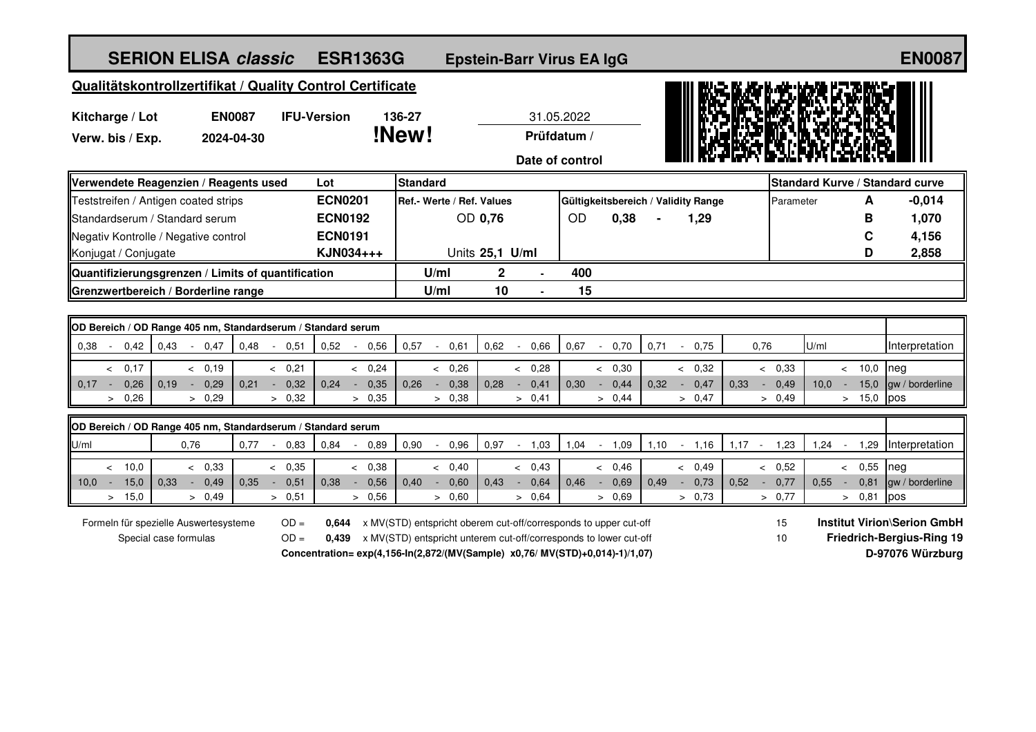| <b>SERION ELISA classic</b>                                                        |                          |      |                          |      |                |                          | <b>ESR1363G</b><br><b>Epstein-Barr Virus EA IgG</b>                                                                                                                                                                               |        |                |                 |         |                                     |                   |        |                |      |        |                |                                                                                                 |        |                                 |                   |               |                | <b>EN0087</b>          |
|------------------------------------------------------------------------------------|--------------------------|------|--------------------------|------|----------------|--------------------------|-----------------------------------------------------------------------------------------------------------------------------------------------------------------------------------------------------------------------------------|--------|----------------|-----------------|---------|-------------------------------------|-------------------|--------|----------------|------|--------|----------------|-------------------------------------------------------------------------------------------------|--------|---------------------------------|-------------------|---------------|----------------|------------------------|
| Qualitätskontrollzertifikat / Quality Control Certificate                          |                          |      |                          |      |                |                          |                                                                                                                                                                                                                                   |        |                |                 |         |                                     |                   |        |                |      |        |                |                                                                                                 |        |                                 |                   |               |                |                        |
| <b>EN0087</b><br><b>IFU-Version</b><br>Kitcharge / Lot                             |                          |      |                          |      |                |                          | 136-27<br>31.05.2022                                                                                                                                                                                                              |        |                |                 |         |                                     |                   |        |                |      |        |                |                                                                                                 |        |                                 |                   |               |                |                        |
| Verw. bis / Exp.                                                                   | 2024-04-30               |      |                          |      |                |                          | !New!<br>Prüfdatum /                                                                                                                                                                                                              |        |                |                 |         |                                     |                   |        |                |      |        |                |                                                                                                 |        |                                 |                   |               |                |                        |
|                                                                                    |                          |      |                          |      |                |                          |                                                                                                                                                                                                                                   |        |                |                 |         |                                     | Date of control   |        |                |      |        |                |                                                                                                 |        |                                 |                   |               |                |                        |
| Verwendete Reagenzien / Reagents used<br>Lot                                       |                          |      |                          |      |                |                          | <b>Standard</b>                                                                                                                                                                                                                   |        |                |                 |         |                                     |                   |        |                |      |        |                |                                                                                                 |        | Standard Kurve / Standard curve |                   |               |                |                        |
| Teststreifen / Antigen coated strips                                               |                          |      |                          |      | <b>ECN0201</b> |                          | Ref.- Werte / Ref. Values                                                                                                                                                                                                         |        |                |                 |         | Gültigkeitsbereich / Validity Range |                   |        |                |      |        |                |                                                                                                 |        | A<br>Parameter                  |                   |               | $-0,014$       |                        |
| Standardserum / Standard serum                                                     |                          |      |                          |      | <b>ECN0192</b> |                          | OD 0,76                                                                                                                                                                                                                           |        |                |                 |         |                                     | <b>OD</b><br>0,38 |        |                | 1,29 |        |                |                                                                                                 |        |                                 |                   | в             | 1,070          |                        |
| Negativ Kontrolle / Negative control                                               |                          |      |                          |      | <b>ECN0191</b> |                          |                                                                                                                                                                                                                                   |        |                |                 |         |                                     |                   |        |                |      |        |                |                                                                                                 |        |                                 |                   |               | C              | 4,156                  |
| Konjugat / Conjugate                                                               |                          |      |                          |      | KJN034+++      |                          |                                                                                                                                                                                                                                   |        |                | Units 25,1 U/ml |         |                                     |                   |        |                |      |        |                |                                                                                                 |        |                                 |                   | D             | 2,858          |                        |
| Quantifizierungsgrenzen / Limits of quantification                                 |                          |      |                          |      |                |                          |                                                                                                                                                                                                                                   | U/ml   |                | $\mathbf 2$     |         |                                     | 400               |        |                |      |        |                |                                                                                                 |        |                                 |                   |               |                |                        |
| Grenzwertbereich / Borderline range                                                |                          |      |                          |      |                |                          | U/ml                                                                                                                                                                                                                              |        | 10             |                 |         | 15                                  |                   |        |                |      |        |                |                                                                                                 |        |                                 |                   |               |                |                        |
|                                                                                    |                          |      |                          |      |                |                          |                                                                                                                                                                                                                                   |        |                |                 |         |                                     |                   |        |                |      |        |                |                                                                                                 |        |                                 |                   |               |                |                        |
| OD Bereich / OD Range 405 nm, Standardserum / Standard serum                       |                          |      |                          |      |                |                          |                                                                                                                                                                                                                                   |        |                |                 |         |                                     |                   |        |                |      |        |                |                                                                                                 |        |                                 |                   |               |                |                        |
| 0.38<br>0,42<br>0.43                                                               | 0,47<br>$\sim$           | 0,48 | 0,51<br>$\sim$           | 0,52 |                | 0.56                     | 0,57                                                                                                                                                                                                                              | $\sim$ | 0,61           | 0,62            | $\sim$  | 0,66                                | 0.67              | $\sim$ | 0,70           | 0,71 | $\sim$ | 0,75           |                                                                                                 | 0,76   |                                 | U/ml              |               |                | Interpretation         |
| 0,17<br>$\prec$                                                                    | & 0.19                   |      | & 0.21                   |      |                | & 0,24                   |                                                                                                                                                                                                                                   |        | & 0.26         |                 | $\prec$ | 0,28                                |                   |        | < 0.30         |      |        | & 0.32         |                                                                                                 |        | & 0.33                          |                   |               | < 10,0         | neg                    |
| $0,17 -$<br>0,26<br>0.19                                                           | 0,29<br>$\clubsuit$      | 0.21 | 0,32<br>$\sim$           |      | $0,24 -$       | 0,35                     | 0.26                                                                                                                                                                                                                              | $\sim$ | 0,38           | 0,28            | $\sim$  | 0,41                                | 0.30              | $\sim$ | 0,44           | 0.32 | $\sim$ | 0,47           | 0.33                                                                                            | $\sim$ | 0,49                            | 10.0 <sub>1</sub> | $\sim$ $\sim$ | 15,0           | gw / borderline        |
| > 0,26                                                                             | > 0,29                   |      | > 0,32                   |      |                | > 0,35                   |                                                                                                                                                                                                                                   |        | > 0,38         |                 |         | > 0,41                              |                   |        | > 0,44         |      |        | > 0,47         |                                                                                                 |        | > 0,49                          |                   |               | > 15,0         | pos                    |
| OD Bereich / OD Range 405 nm, Standardserum / Standard serum                       |                          |      |                          |      |                |                          |                                                                                                                                                                                                                                   |        |                |                 |         |                                     |                   |        |                |      |        |                |                                                                                                 |        |                                 |                   |               |                |                        |
| U/ml                                                                               | 0,76                     | 0,77 | 0,83<br>$\sim$           | 0,84 |                | 0,89                     | 0,90                                                                                                                                                                                                                              |        | 0,96           | 0,97            | $\sim$  | 1,03                                | 1,04              | $\sim$ | 1,09           | 1,10 | $\sim$ | 1,16           | $1,17 -$                                                                                        |        | 1,23                            | 1,24              | $\sim$ $-$    | 1,29           | Interpretation         |
|                                                                                    |                          |      |                          |      |                |                          |                                                                                                                                                                                                                                   |        |                |                 |         |                                     |                   |        |                |      |        |                |                                                                                                 |        |                                 |                   |               |                |                        |
| < 10.0                                                                             | < 0,33                   |      | < 0,35                   |      |                | < 0,38                   |                                                                                                                                                                                                                                   |        | < 0,40         |                 |         | < 0,43                              |                   |        | < 0,46         |      |        | < 0,49         |                                                                                                 |        | & 0,52                          |                   |               | & 0,55         | neg                    |
| 15,0<br>10,0<br>0,33<br>$\sim$<br>15,0<br>$\geq$                                   | 0,49<br>$\sim$<br>> 0,49 | 0,35 | 0,51<br>$\sim$<br>> 0,51 | 0,38 |                | 0,56<br>$\sim$<br>> 0,56 | 0,40                                                                                                                                                                                                                              | $\sim$ | 0,60<br>> 0,60 | 0,43            | $\sim$  | 0,64<br>> 0,64                      | 0,46              | $\sim$ | 0,69<br>> 0,69 | 0,49 | $\sim$ | 0,73<br>> 0.73 | 0,52                                                                                            | $\sim$ | 0,77<br>> 0.77                  | 0,55              | $\sim$        | 0,81<br>> 0,81 | gw / borderline<br>pos |
| Formeln für spezielle Auswertesysteme<br>$OD =$<br>$OD =$<br>Special case formulas |                          |      |                          |      |                |                          | 0,644 x MV(STD) entspricht oberem cut-off/corresponds to upper cut-off<br>0,439 x MV(STD) entspricht unterem cut-off/corresponds to lower cut-off<br>Concentration= exp(4,156-ln(2,872/(MV(Sample) x0,76/ MV(STD)+0,014)-1)/1,07) |        |                |                 |         |                                     |                   |        |                |      |        |                | <b>Institut Virion\Serion GmbH</b><br>15<br>Friedrich-Bergius-Ring 19<br>10<br>D-97076 Würzburg |        |                                 |                   |               |                |                        |
|                                                                                    |                          |      |                          |      |                |                          |                                                                                                                                                                                                                                   |        |                |                 |         |                                     |                   |        |                |      |        |                |                                                                                                 |        |                                 |                   |               |                |                        |